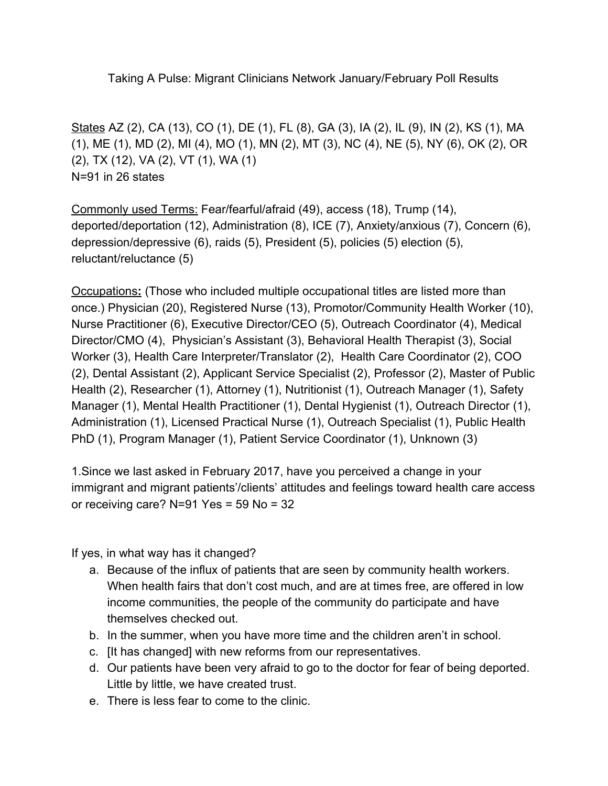Taking A Pulse: Migrant Clinicians Network January/February Poll Results

States AZ (2), CA (13), CO (1), DE (1), FL (8), GA (3), IA (2), IL (9), IN (2), KS (1), MA (1), ME (1), MD (2), MI (4), MO (1), MN (2), MT (3), NC (4), NE (5), NY (6), OK (2), OR (2), TX (12), VA (2), VT (1), WA (1) N=91 in 26 states

Commonly used Terms: Fear/fearful/afraid (49), access (18), Trump (14), deported/deportation (12), Administration (8), ICE (7), Anxiety/anxious (7), Concern (6), depression/depressive (6), raids (5), President (5), policies (5) election (5), reluctant/reluctance (5)

Occupations**:** (Those who included multiple occupational titles are listed more than once.) Physician (20), Registered Nurse (13), Promotor/Community Health Worker (10), Nurse Practitioner (6), Executive Director/CEO (5), Outreach Coordinator (4), Medical Director/CMO (4), Physician's Assistant (3), Behavioral Health Therapist (3), Social Worker (3), Health Care Interpreter/Translator (2), Health Care Coordinator (2), COO (2), Dental Assistant (2), Applicant Service Specialist (2), Professor (2), Master of Public Health (2), Researcher (1), Attorney (1), Nutritionist (1), Outreach Manager (1), Safety Manager (1), Mental Health Practitioner (1), Dental Hygienist (1), Outreach Director (1), Administration (1), Licensed Practical Nurse (1), Outreach Specialist (1), Public Health PhD (1), Program Manager (1), Patient Service Coordinator (1), Unknown (3)

1.Since we last asked in February 2017, have you perceived a change in your immigrant and migrant patients'/clients' attitudes and feelings toward health care access or receiving care? N=91 Yes = 59 No = 32

If yes, in what way has it changed?

- a. Because of the influx of patients that are seen by community health workers. When health fairs that don't cost much, and are at times free, are offered in low income communities, the people of the community do participate and have themselves checked out.
- b. In the summer, when you have more time and the children aren't in school.
- c. [It has changed] with new reforms from our representatives.
- d. Our patients have been very afraid to go to the doctor for fear of being deported. Little by little, we have created trust.
- e. There is less fear to come to the clinic.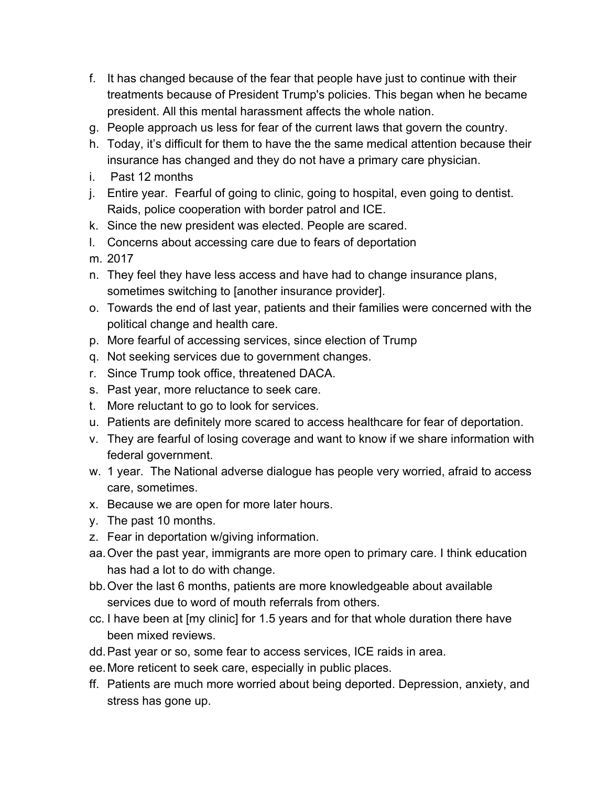- f. It has changed because of the fear that people have just to continue with their treatments because of President Trump's policies. This began when he became president. All this mental harassment affects the whole nation.
- g. People approach us less for fear of the current laws that govern the country.
- h. Today, it's difficult for them to have the the same medical attention because their insurance has changed and they do not have a primary care physician.
- i. Past 12 months
- j. Entire year. Fearful of going to clinic, going to hospital, even going to dentist. Raids, police cooperation with border patrol and ICE.
- k. Since the new president was elected. People are scared.
- l. Concerns about accessing care due to fears of deportation
- m. 2017
- n. They feel they have less access and have had to change insurance plans, sometimes switching to [another insurance provider].
- o. Towards the end of last year, patients and their families were concerned with the political change and health care.
- p. More fearful of accessing services, since election of Trump
- q. Not seeking services due to government changes.
- r. Since Trump took office, threatened DACA.
- s. Past year, more reluctance to seek care.
- t. More reluctant to go to look for services.
- u. Patients are definitely more scared to access healthcare for fear of deportation.
- v. They are fearful of losing coverage and want to know if we share information with federal government.
- w. 1 year. The National adverse dialogue has people very worried, afraid to access care, sometimes.
- x. Because we are open for more later hours.
- y. The past 10 months.
- z. Fear in deportation w/giving information.
- aa.Over the past year, immigrants are more open to primary care. I think education has had a lot to do with change.
- bb.Over the last 6 months, patients are more knowledgeable about available services due to word of mouth referrals from others.
- cc. I have been at [my clinic] for 1.5 years and for that whole duration there have been mixed reviews.
- dd.Past year or so, some fear to access services, ICE raids in area.
- ee.More reticent to seek care, especially in public places.
- ff. Patients are much more worried about being deported. Depression, anxiety, and stress has gone up.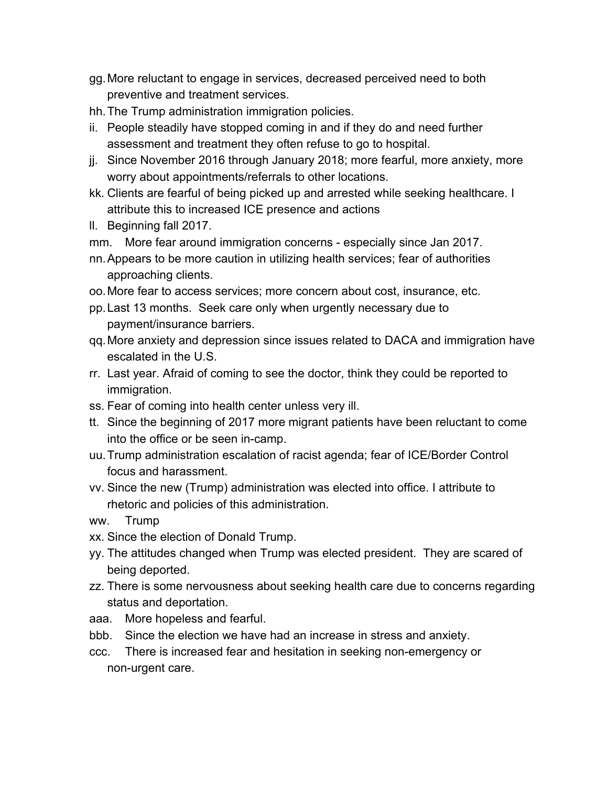- gg.More reluctant to engage in services, decreased perceived need to both preventive and treatment services.
- hh.The Trump administration immigration policies.
- ii. People steadily have stopped coming in and if they do and need further assessment and treatment they often refuse to go to hospital.
- jj. Since November 2016 through January 2018; more fearful, more anxiety, more worry about appointments/referrals to other locations.
- kk. Clients are fearful of being picked up and arrested while seeking healthcare. I attribute this to increased ICE presence and actions
- ll. Beginning fall 2017.
- mm. More fear around immigration concerns especially since Jan 2017.
- nn.Appears to be more caution in utilizing health services; fear of authorities approaching clients.
- oo.More fear to access services; more concern about cost, insurance, etc.
- pp.Last 13 months. Seek care only when urgently necessary due to payment/insurance barriers.
- qq.More anxiety and depression since issues related to DACA and immigration have escalated in the U.S.
- rr. Last year. Afraid of coming to see the doctor, think they could be reported to immigration.
- ss. Fear of coming into health center unless very ill.
- tt. Since the beginning of 2017 more migrant patients have been reluctant to come into the office or be seen in-camp.
- uu.Trump administration escalation of racist agenda; fear of ICE/Border Control focus and harassment.
- vv. Since the new (Trump) administration was elected into office. I attribute to rhetoric and policies of this administration.
- ww. Trump
- xx. Since the election of Donald Trump.
- yy. The attitudes changed when Trump was elected president. They are scared of being deported.
- zz. There is some nervousness about seeking health care due to concerns regarding status and deportation.
- aaa. More hopeless and fearful.
- bbb. Since the election we have had an increase in stress and anxiety.
- ccc. There is increased fear and hesitation in seeking non-emergency or non-urgent care.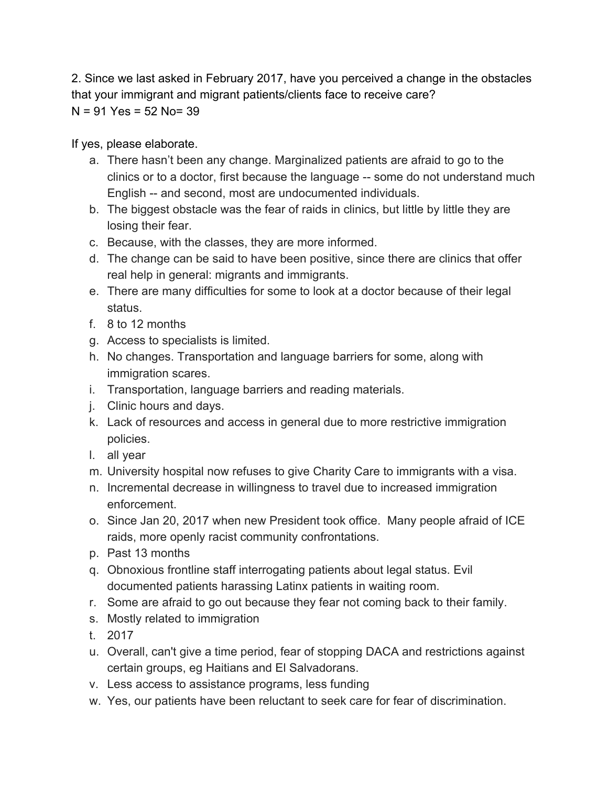2. Since we last asked in February 2017, have you perceived a change in the obstacles that your immigrant and migrant patients/clients face to receive care?  $N = 91$  Yes = 52 No= 39

## If yes, please elaborate.

- a. There hasn't been any change. Marginalized patients are afraid to go to the clinics or to a doctor, first because the language -- some do not understand much English -- and second, most are undocumented individuals.
- b. The biggest obstacle was the fear of raids in clinics, but little by little they are losing their fear.
- c. Because, with the classes, they are more informed.
- d. The change can be said to have been positive, since there are clinics that offer real help in general: migrants and immigrants.
- e. There are many difficulties for some to look at a doctor because of their legal status.
- f. 8 to 12 months
- g. Access to specialists is limited.
- h. No changes. Transportation and language barriers for some, along with immigration scares.
- i. Transportation, language barriers and reading materials.
- j. Clinic hours and days.
- k. Lack of resources and access in general due to more restrictive immigration policies.
- l. all year
- m. University hospital now refuses to give Charity Care to immigrants with a visa.
- n. Incremental decrease in willingness to travel due to increased immigration enforcement.
- o. Since Jan 20, 2017 when new President took office. Many people afraid of ICE raids, more openly racist community confrontations.
- p. Past 13 months
- q. Obnoxious frontline staff interrogating patients about legal status. Evil documented patients harassing Latinx patients in waiting room.
- r. Some are afraid to go out because they fear not coming back to their family.
- s. Mostly related to immigration
- t. 2017
- u. Overall, can't give a time period, fear of stopping DACA and restrictions against certain groups, eg Haitians and El Salvadorans.
- v. Less access to assistance programs, less funding
- w. Yes, our patients have been reluctant to seek care for fear of discrimination.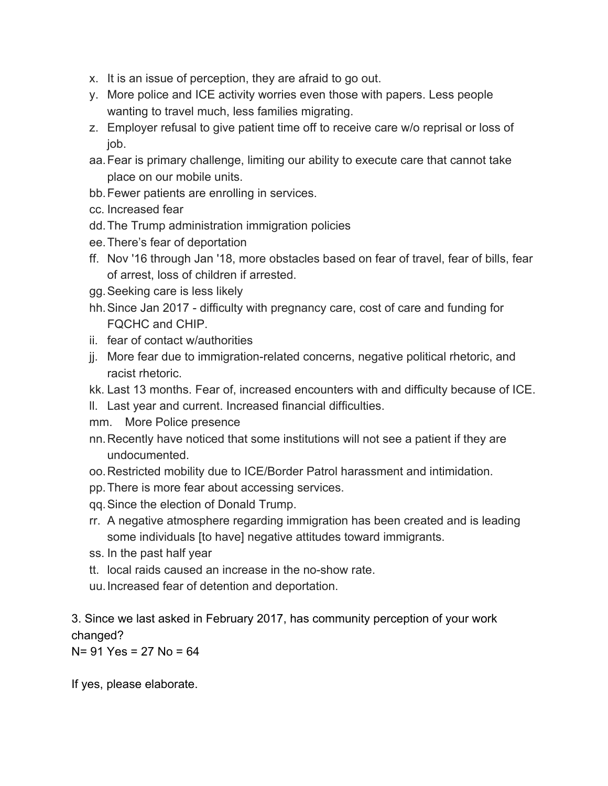- x. It is an issue of perception, they are afraid to go out.
- y. More police and ICE activity worries even those with papers. Less people wanting to travel much, less families migrating.
- z. Employer refusal to give patient time off to receive care w/o reprisal or loss of job.
- aa.Fear is primary challenge, limiting our ability to execute care that cannot take place on our mobile units.
- bb.Fewer patients are enrolling in services.
- cc. Increased fear
- dd.The Trump administration immigration policies
- ee.There's fear of deportation
- ff. Nov '16 through Jan '18, more obstacles based on fear of travel, fear of bills, fear of arrest, loss of children if arrested.
- gg.Seeking care is less likely
- hh.Since Jan 2017 difficulty with pregnancy care, cost of care and funding for FQCHC and CHIP.
- ii. fear of contact w/authorities
- jj. More fear due to immigration-related concerns, negative political rhetoric, and racist rhetoric.
- kk. Last 13 months. Fear of, increased encounters with and difficulty because of ICE.
- ll. Last year and current. Increased financial difficulties.
- mm. More Police presence
- nn.Recently have noticed that some institutions will not see a patient if they are undocumented.
- oo.Restricted mobility due to ICE/Border Patrol harassment and intimidation.
- pp.There is more fear about accessing services.
- qq.Since the election of Donald Trump.
- rr. A negative atmosphere regarding immigration has been created and is leading some individuals [to have] negative attitudes toward immigrants.
- ss. In the past half year
- tt. local raids caused an increase in the no-show rate.
- uu.Increased fear of detention and deportation.

3. Since we last asked in February 2017, has community perception of your work changed?

N= 91 Yes = 27 No = 64

If yes, please elaborate.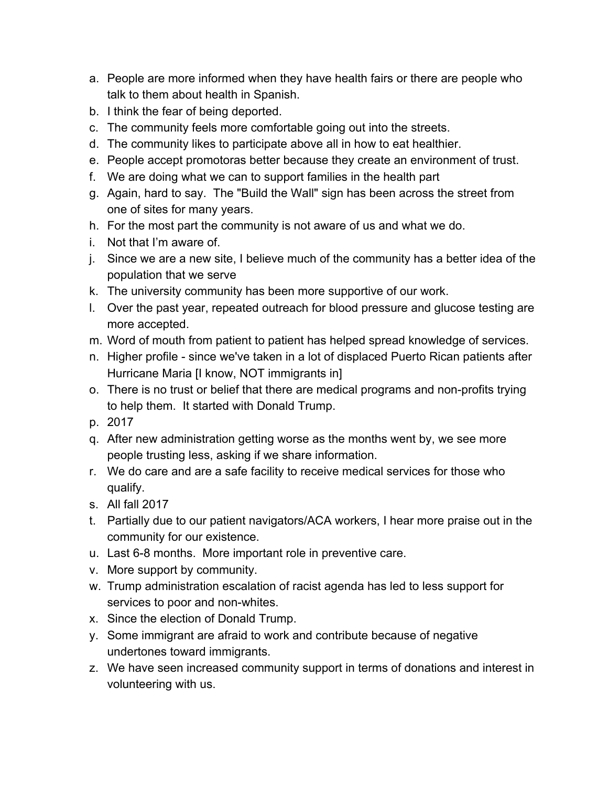- a. People are more informed when they have health fairs or there are people who talk to them about health in Spanish.
- b. I think the fear of being deported.
- c. The community feels more comfortable going out into the streets.
- d. The community likes to participate above all in how to eat healthier.
- e. People accept promotoras better because they create an environment of trust.
- f. We are doing what we can to support families in the health part
- g. Again, hard to say. The "Build the Wall" sign has been across the street from one of sites for many years.
- h. For the most part the community is not aware of us and what we do.
- i. Not that I'm aware of.
- j. Since we are a new site, I believe much of the community has a better idea of the population that we serve
- k. The university community has been more supportive of our work.
- l. Over the past year, repeated outreach for blood pressure and glucose testing are more accepted.
- m. Word of mouth from patient to patient has helped spread knowledge of services.
- n. Higher profile since we've taken in a lot of displaced Puerto Rican patients after Hurricane Maria [I know, NOT immigrants in]
- o. There is no trust or belief that there are medical programs and non-profits trying to help them. It started with Donald Trump.
- p. 2017
- q. After new administration getting worse as the months went by, we see more people trusting less, asking if we share information.
- r. We do care and are a safe facility to receive medical services for those who qualify.
- s. All fall 2017
- t. Partially due to our patient navigators/ACA workers, I hear more praise out in the community for our existence.
- u. Last 6-8 months. More important role in preventive care.
- v. More support by community.
- w. Trump administration escalation of racist agenda has led to less support for services to poor and non-whites.
- x. Since the election of Donald Trump.
- y. Some immigrant are afraid to work and contribute because of negative undertones toward immigrants.
- z. We have seen increased community support in terms of donations and interest in volunteering with us.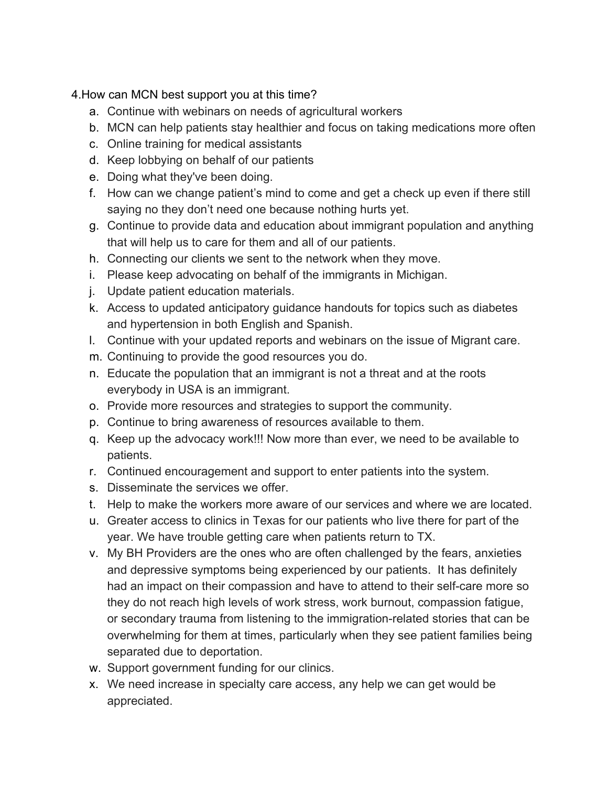4.How can MCN best support you at this time?

- a. Continue with webinars on needs of agricultural workers
- b. MCN can help patients stay healthier and focus on taking medications more often
- c. Online training for medical assistants
- d. Keep lobbying on behalf of our patients
- e. Doing what they've been doing.
- f. How can we change patient's mind to come and get a check up even if there still saying no they don't need one because nothing hurts yet.
- g. Continue to provide data and education about immigrant population and anything that will help us to care for them and all of our patients.
- h. Connecting our clients we sent to the network when they move.
- i. Please keep advocating on behalf of the immigrants in Michigan.
- j. Update patient education materials.
- k. Access to updated anticipatory guidance handouts for topics such as diabetes and hypertension in both English and Spanish.
- l. Continue with your updated reports and webinars on the issue of Migrant care.
- m. Continuing to provide the good resources you do.
- n. Educate the population that an immigrant is not a threat and at the roots everybody in USA is an immigrant.
- o. Provide more resources and strategies to support the community.
- p. Continue to bring awareness of resources available to them.
- q. Keep up the advocacy work!!! Now more than ever, we need to be available to patients.
- r. Continued encouragement and support to enter patients into the system.
- s. Disseminate the services we offer.
- t. Help to make the workers more aware of our services and where we are located.
- u. Greater access to clinics in Texas for our patients who live there for part of the year. We have trouble getting care when patients return to TX.
- v. My BH Providers are the ones who are often challenged by the fears, anxieties and depressive symptoms being experienced by our patients. It has definitely had an impact on their compassion and have to attend to their self-care more so they do not reach high levels of work stress, work burnout, compassion fatigue, or secondary trauma from listening to the immigration-related stories that can be overwhelming for them at times, particularly when they see patient families being separated due to deportation.
- w. Support government funding for our clinics.
- x. We need increase in specialty care access, any help we can get would be appreciated.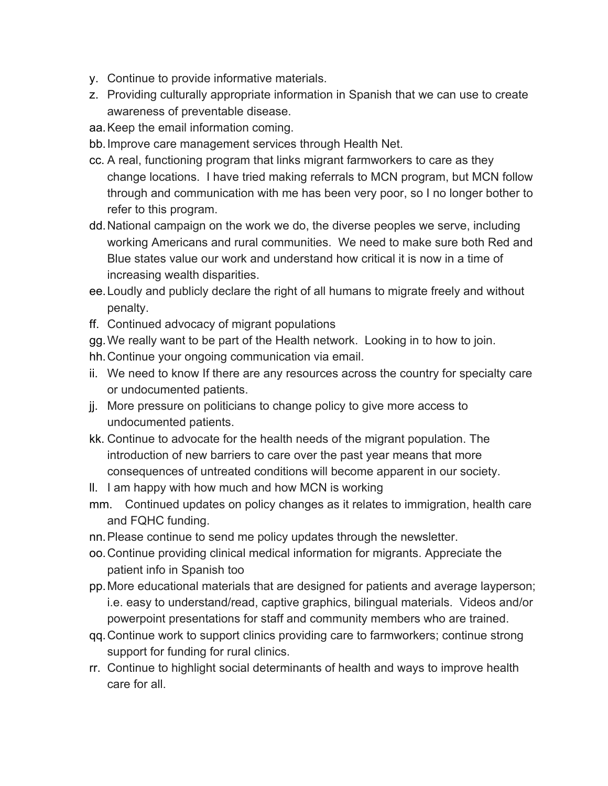- y. Continue to provide informative materials.
- z. Providing culturally appropriate information in Spanish that we can use to create awareness of preventable disease.
- aa.Keep the email information coming.
- bb.Improve care management services through Health Net.
- cc. A real, functioning program that links migrant farmworkers to care as they change locations. I have tried making referrals to MCN program, but MCN follow through and communication with me has been very poor, so I no longer bother to refer to this program.
- dd.National campaign on the work we do, the diverse peoples we serve, including working Americans and rural communities. We need to make sure both Red and Blue states value our work and understand how critical it is now in a time of increasing wealth disparities.
- ee.Loudly and publicly declare the right of all humans to migrate freely and without penalty.
- ff. Continued advocacy of migrant populations
- gg.We really want to be part of the Health network. Looking in to how to join.
- hh.Continue your ongoing communication via email.
- ii. We need to know If there are any resources across the country for specialty care or undocumented patients.
- jj. More pressure on politicians to change policy to give more access to undocumented patients.
- kk. Continue to advocate for the health needs of the migrant population. The introduction of new barriers to care over the past year means that more consequences of untreated conditions will become apparent in our society.
- ll. I am happy with how much and how MCN is working
- mm. Continued updates on policy changes as it relates to immigration, health care and FQHC funding.
- nn.Please continue to send me policy updates through the newsletter.
- oo.Continue providing clinical medical information for migrants. Appreciate the patient info in Spanish too
- pp.More educational materials that are designed for patients and average layperson; i.e. easy to understand/read, captive graphics, bilingual materials. Videos and/or powerpoint presentations for staff and community members who are trained.
- qq.Continue work to support clinics providing care to farmworkers; continue strong support for funding for rural clinics.
- rr. Continue to highlight social determinants of health and ways to improve health care for all.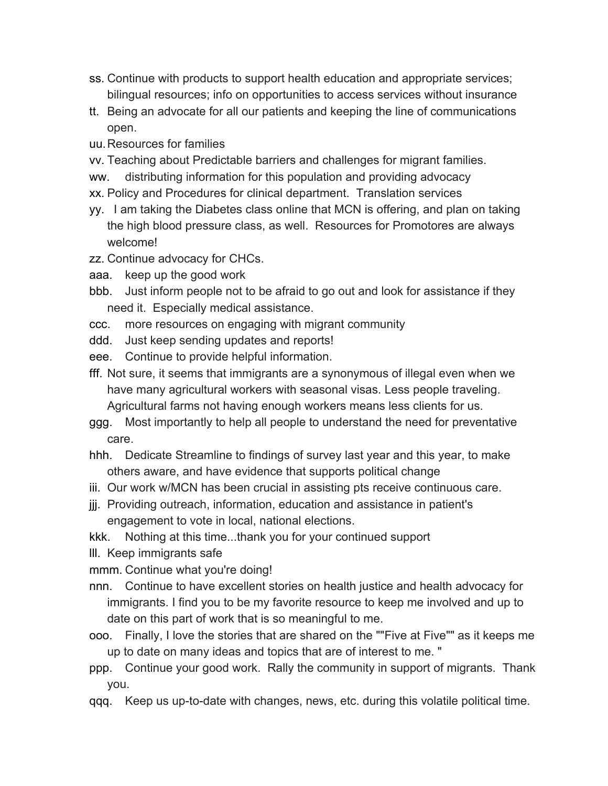- ss. Continue with products to support health education and appropriate services; bilingual resources; info on opportunities to access services without insurance
- tt. Being an advocate for all our patients and keeping the line of communications open.
- uu.Resources for families
- vv. Teaching about Predictable barriers and challenges for migrant families.
- ww. distributing information for this population and providing advocacy
- xx. Policy and Procedures for clinical department. Translation services
- yy. I am taking the Diabetes class online that MCN is offering, and plan on taking the high blood pressure class, as well. Resources for Promotores are always welcome!
- zz. Continue advocacy for CHCs.
- aaa. keep up the good work
- bbb. Just inform people not to be afraid to go out and look for assistance if they need it. Especially medical assistance.
- ccc. more resources on engaging with migrant community
- ddd. Just keep sending updates and reports!
- eee. Continue to provide helpful information.
- fff. Not sure, it seems that immigrants are a synonymous of illegal even when we have many agricultural workers with seasonal visas. Less people traveling. Agricultural farms not having enough workers means less clients for us.
- ggg. Most importantly to help all people to understand the need for preventative care.
- hhh. Dedicate Streamline to findings of survey last year and this year, to make others aware, and have evidence that supports political change
- iii. Our work w/MCN has been crucial in assisting pts receive continuous care.
- jjj. Providing outreach, information, education and assistance in patient's engagement to vote in local, national elections.
- kkk. Nothing at this time...thank you for your continued support
- lll. Keep immigrants safe
- mmm. Continue what you're doing!
- nnn. Continue to have excellent stories on health justice and health advocacy for immigrants. I find you to be my favorite resource to keep me involved and up to date on this part of work that is so meaningful to me.
- ooo. Finally, I love the stories that are shared on the ""Five at Five"" as it keeps me up to date on many ideas and topics that are of interest to me. "
- ppp. Continue your good work. Rally the community in support of migrants. Thank you.
- qqq. Keep us up-to-date with changes, news, etc. during this volatile political time.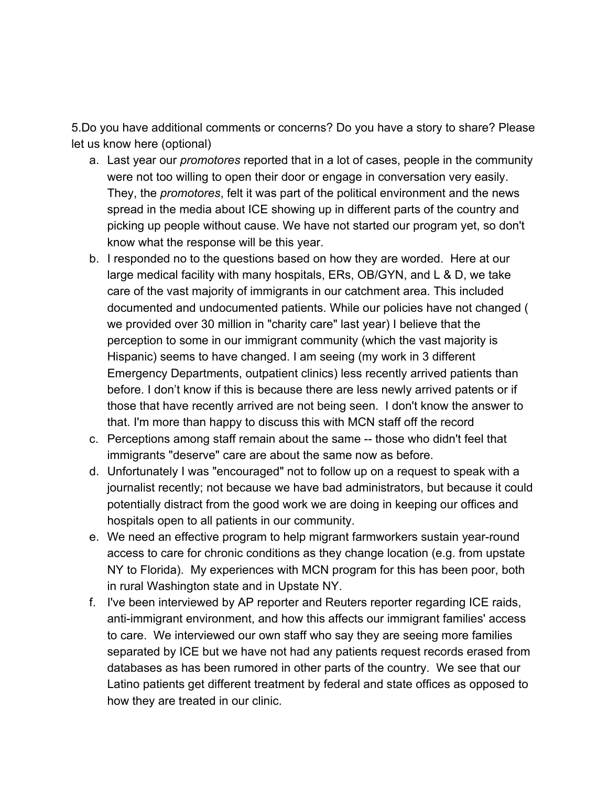5.Do you have additional comments or concerns? Do you have a story to share? Please let us know here (optional)

- a. Last year our *promotores* reported that in a lot of cases, people in the community were not too willing to open their door or engage in conversation very easily. They, the *promotores*, felt it was part of the political environment and the news spread in the media about ICE showing up in different parts of the country and picking up people without cause. We have not started our program yet, so don't know what the response will be this year.
- b. I responded no to the questions based on how they are worded. Here at our large medical facility with many hospitals, ERs, OB/GYN, and L & D, we take care of the vast majority of immigrants in our catchment area. This included documented and undocumented patients. While our policies have not changed ( we provided over 30 million in "charity care" last year) I believe that the perception to some in our immigrant community (which the vast majority is Hispanic) seems to have changed. I am seeing (my work in 3 different Emergency Departments, outpatient clinics) less recently arrived patients than before. I don't know if this is because there are less newly arrived patents or if those that have recently arrived are not being seen. I don't know the answer to that. I'm more than happy to discuss this with MCN staff off the record
- c. Perceptions among staff remain about the same -- those who didn't feel that immigrants "deserve" care are about the same now as before.
- d. Unfortunately I was "encouraged" not to follow up on a request to speak with a journalist recently; not because we have bad administrators, but because it could potentially distract from the good work we are doing in keeping our offices and hospitals open to all patients in our community.
- e. We need an effective program to help migrant farmworkers sustain year-round access to care for chronic conditions as they change location (e.g. from upstate NY to Florida). My experiences with MCN program for this has been poor, both in rural Washington state and in Upstate NY.
- f. I've been interviewed by AP reporter and Reuters reporter regarding ICE raids, anti-immigrant environment, and how this affects our immigrant families' access to care. We interviewed our own staff who say they are seeing more families separated by ICE but we have not had any patients request records erased from databases as has been rumored in other parts of the country. We see that our Latino patients get different treatment by federal and state offices as opposed to how they are treated in our clinic.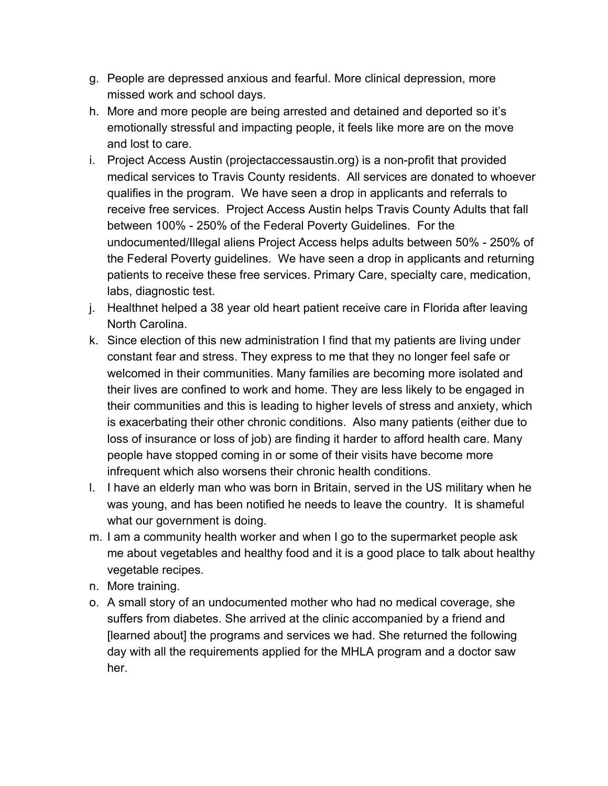- g. People are depressed anxious and fearful. More clinical depression, more missed work and school days.
- h. More and more people are being arrested and detained and deported so it's emotionally stressful and impacting people, it feels like more are on the move and lost to care.
- i. Project Access Austin (projectaccessaustin.org) is a non-profit that provided medical services to Travis County residents. All services are donated to whoever qualifies in the program. We have seen a drop in applicants and referrals to receive free services. Project Access Austin helps Travis County Adults that fall between 100% - 250% of the Federal Poverty Guidelines. For the undocumented/Illegal aliens Project Access helps adults between 50% - 250% of the Federal Poverty guidelines. We have seen a drop in applicants and returning patients to receive these free services. Primary Care, specialty care, medication, labs, diagnostic test.
- j. Healthnet helped a 38 year old heart patient receive care in Florida after leaving North Carolina.
- k. Since election of this new administration I find that my patients are living under constant fear and stress. They express to me that they no longer feel safe or welcomed in their communities. Many families are becoming more isolated and their lives are confined to work and home. They are less likely to be engaged in their communities and this is leading to higher levels of stress and anxiety, which is exacerbating their other chronic conditions. Also many patients (either due to loss of insurance or loss of job) are finding it harder to afford health care. Many people have stopped coming in or some of their visits have become more infrequent which also worsens their chronic health conditions.
- l. I have an elderly man who was born in Britain, served in the US military when he was young, and has been notified he needs to leave the country. It is shameful what our government is doing.
- m. I am a community health worker and when I go to the supermarket people ask me about vegetables and healthy food and it is a good place to talk about healthy vegetable recipes.
- n. More training.
- o. A small story of an undocumented mother who had no medical coverage, she suffers from diabetes. She arrived at the clinic accompanied by a friend and [learned about] the programs and services we had. She returned the following day with all the requirements applied for the MHLA program and a doctor saw her.